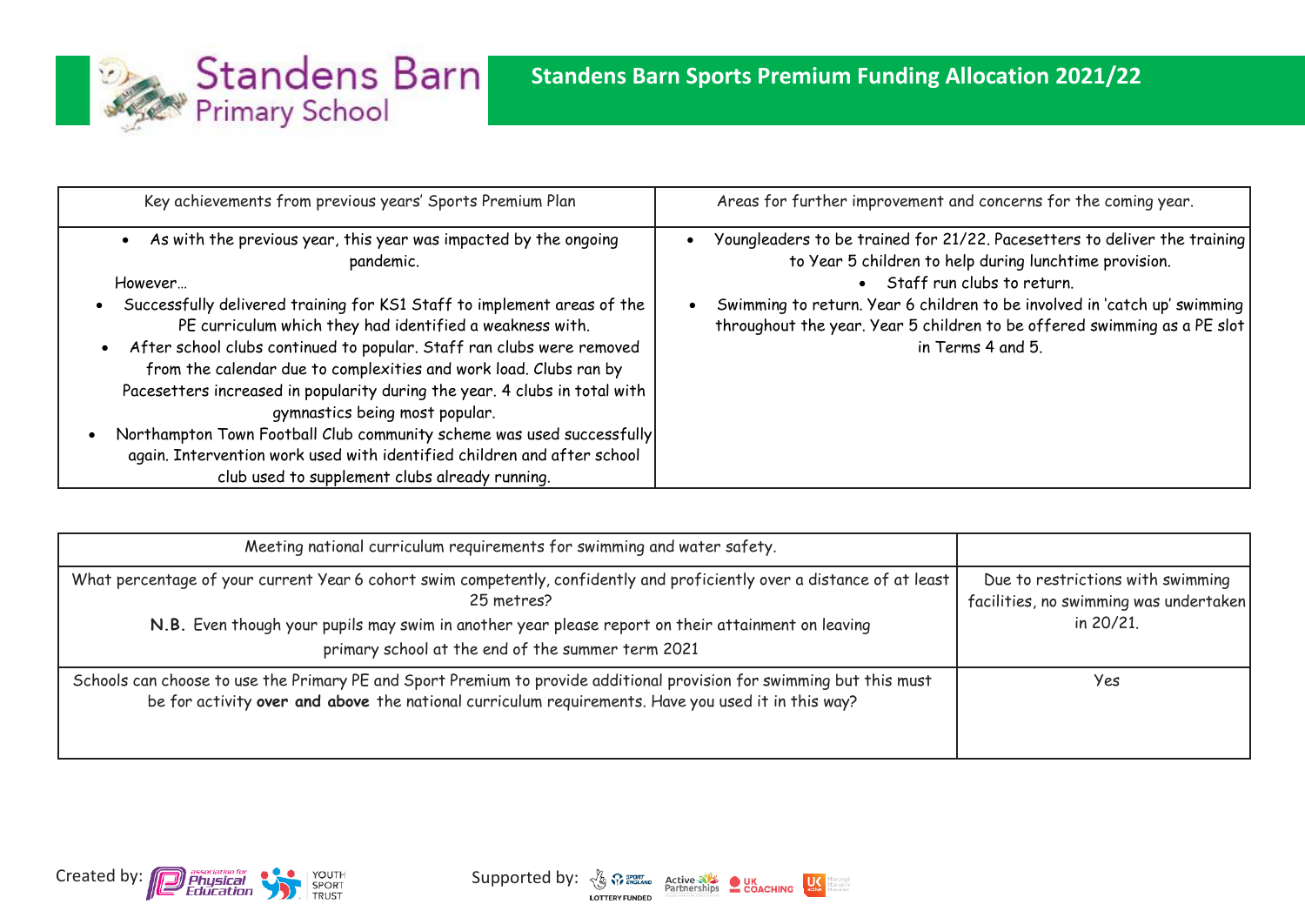

| Key achievements from previous years' Sports Premium Plan                                                                                                                                                                                                                                                                                                                                                                                                                                                                                                                                                                                                                                           | Areas for further improvement and concerns for the coming year.                                                                                                                                                                                                                                                                                   |
|-----------------------------------------------------------------------------------------------------------------------------------------------------------------------------------------------------------------------------------------------------------------------------------------------------------------------------------------------------------------------------------------------------------------------------------------------------------------------------------------------------------------------------------------------------------------------------------------------------------------------------------------------------------------------------------------------------|---------------------------------------------------------------------------------------------------------------------------------------------------------------------------------------------------------------------------------------------------------------------------------------------------------------------------------------------------|
| As with the previous year, this year was impacted by the ongoing<br>pandemic.<br>However<br>Successfully delivered training for KS1 Staff to implement areas of the<br>PE curriculum which they had identified a weakness with.<br>After school clubs continued to popular. Staff ran clubs were removed<br>from the calendar due to complexities and work load. Clubs ran by<br>Pacesetters increased in popularity during the year. 4 clubs in total with<br>gymnastics being most popular.<br>Northampton Town Football Club community scheme was used successfully<br>again. Intervention work used with identified children and after school<br>club used to supplement clubs already running. | Youngleaders to be trained for 21/22. Pacesetters to deliver the training<br>to Year 5 children to help during lunchtime provision.<br>• Staff run clubs to return.<br>Swimming to return. Year 6 children to be involved in 'catch up' swimming<br>throughout the year. Year 5 children to be offered swimming as a PE slot<br>in Terms 4 and 5. |

| Meeting national curriculum requirements for swimming and water safety.                                                                                                                                                                                                                           |                                                                                          |
|---------------------------------------------------------------------------------------------------------------------------------------------------------------------------------------------------------------------------------------------------------------------------------------------------|------------------------------------------------------------------------------------------|
| What percentage of your current Year 6 cohort swim competently, confidently and proficiently over a distance of at least<br>25 metres?<br>N.B. Even though your pupils may swim in another year please report on their attainment on leaving<br>primary school at the end of the summer term 2021 | Due to restrictions with swimming<br>facilities, no swimming was undertaken<br>in 20/21. |
| Schools can choose to use the Primary PE and Sport Premium to provide additional provision for swimming but this must<br>be for activity over and above the national curriculum requirements. Have you used it in this way?                                                                       | Yes                                                                                      |



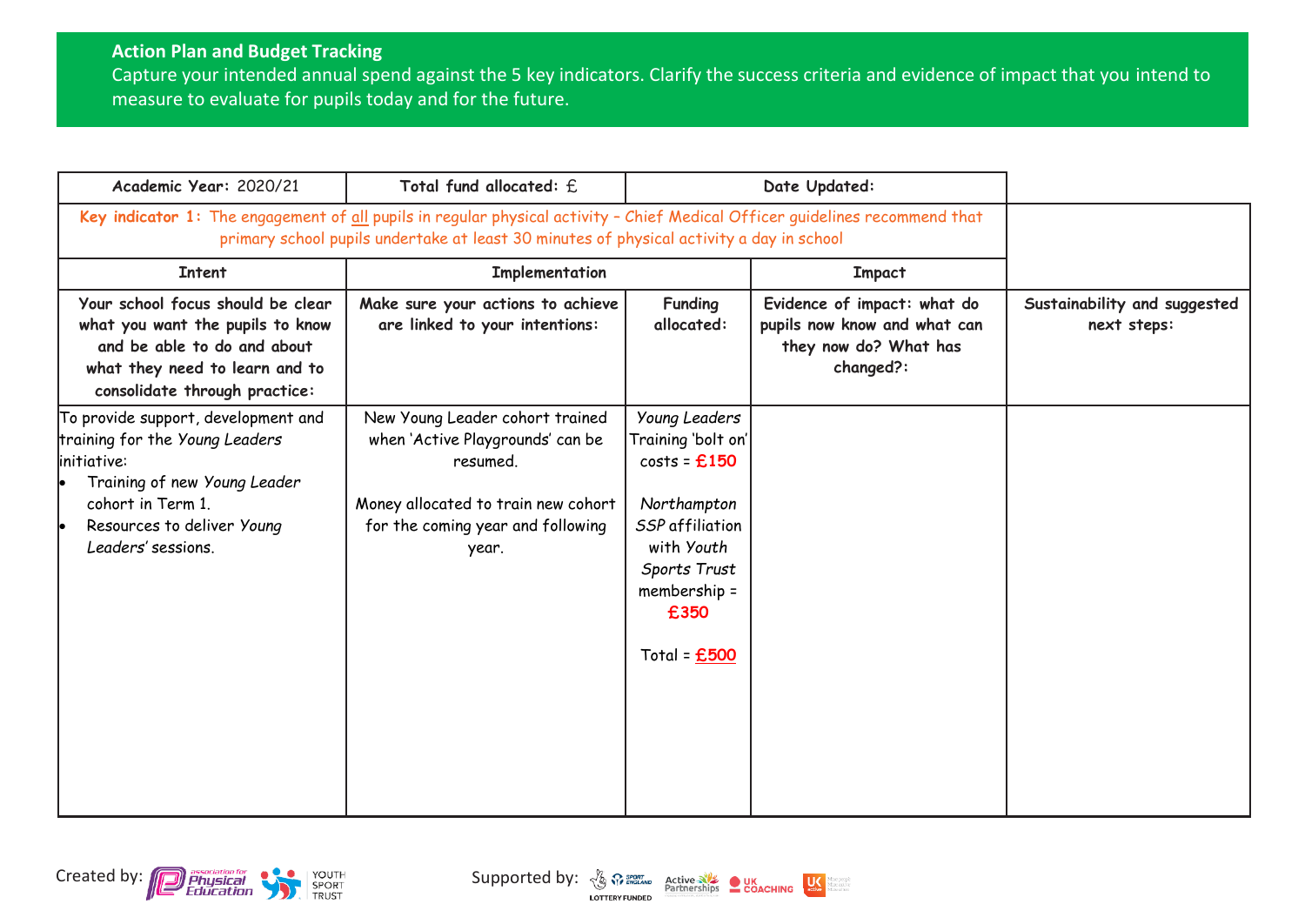## **Action Plan and Budget Tracking**

Capture your intended annual spend against the 5 key indicators. Clarify the success criteria and evidence of impact that you intend to measure to evaluate for pupils today and for the future.

| Academic Year: 2020/21                                                                                                                                                                         | Total fund allocated: f.                                                                                                                                                                                                 |                                                                                                                                                                 | Date Updated:                                                                                     |                                             |
|------------------------------------------------------------------------------------------------------------------------------------------------------------------------------------------------|--------------------------------------------------------------------------------------------------------------------------------------------------------------------------------------------------------------------------|-----------------------------------------------------------------------------------------------------------------------------------------------------------------|---------------------------------------------------------------------------------------------------|---------------------------------------------|
|                                                                                                                                                                                                | Key indicator 1: The engagement of all pupils in regular physical activity - Chief Medical Officer guidelines recommend that<br>primary school pupils undertake at least 30 minutes of physical activity a day in school |                                                                                                                                                                 |                                                                                                   |                                             |
| <b>Intent</b>                                                                                                                                                                                  | Implementation                                                                                                                                                                                                           |                                                                                                                                                                 | <b>Impact</b>                                                                                     |                                             |
| Your school focus should be clear<br>what you want the pupils to know<br>and be able to do and about<br>what they need to learn and to<br>consolidate through practice:                        | Make sure your actions to achieve<br>are linked to your intentions:                                                                                                                                                      | <b>Funding</b><br>allocated:                                                                                                                                    | Evidence of impact: what do<br>pupils now know and what can<br>they now do? What has<br>changed?: | Sustainability and suggested<br>next steps: |
| To provide support, development and<br>training for the Young Leaders<br>linitiative:<br>Training of new Young Leader<br>cohort in Term 1.<br>Resources to deliver Young<br>Leaders' sessions. | New Young Leader cohort trained<br>when 'Active Playgrounds' can be<br>resumed.<br>Money allocated to train new cohort<br>for the coming year and following<br>year.                                                     | Young Leaders<br>Training 'bolt on'<br>$costs = £150$<br>Northampton<br>SSP affiliation<br>with Youth<br>Sports Trust<br>membership =<br>£350<br>Total = $£500$ |                                                                                                   |                                             |



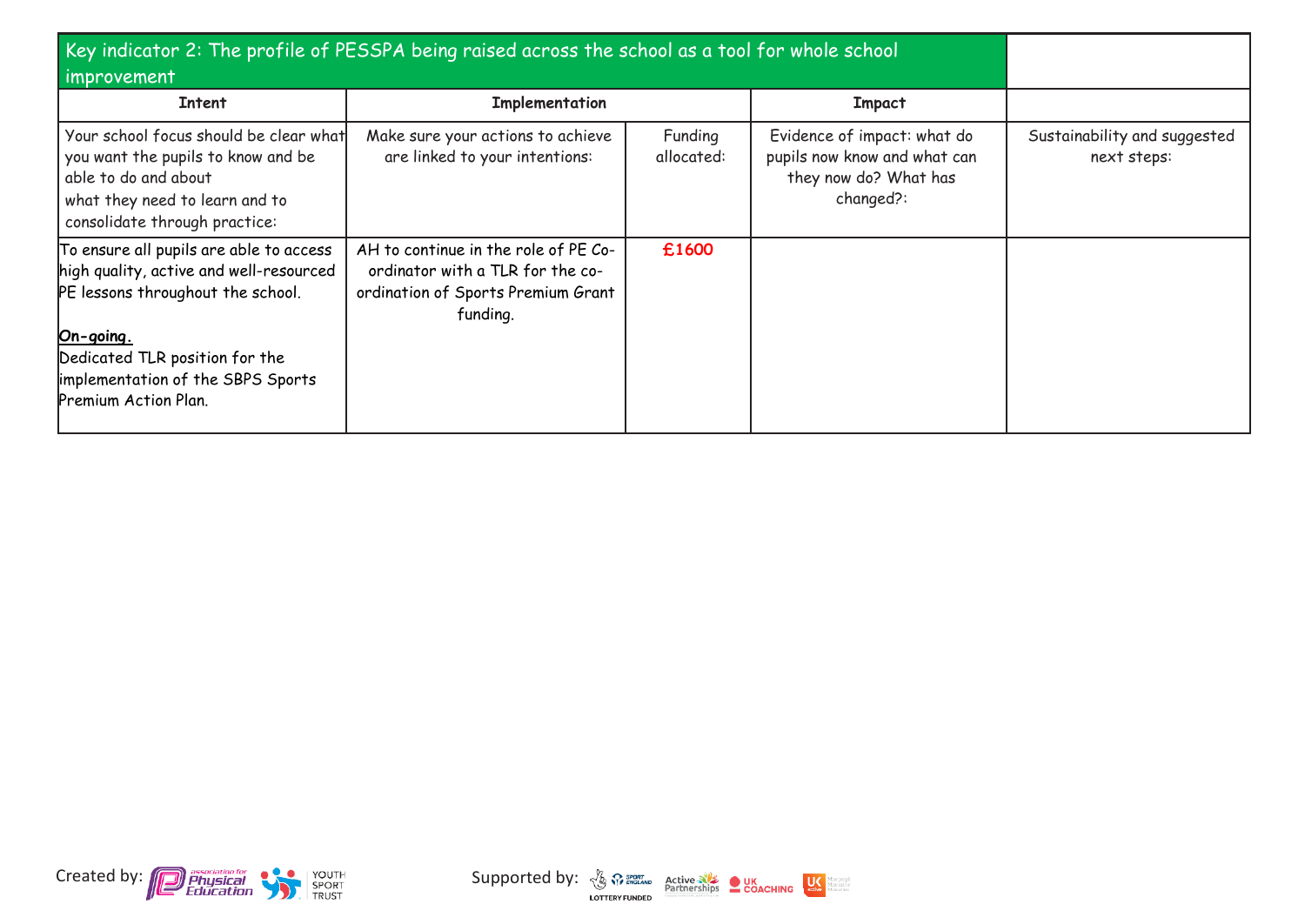| Key indicator 2: The profile of PESSPA being raised across the school as a tool for whole school<br>improvement                                                                                                                     |                                                                                                                            |                       |                                                                                                   |                                             |
|-------------------------------------------------------------------------------------------------------------------------------------------------------------------------------------------------------------------------------------|----------------------------------------------------------------------------------------------------------------------------|-----------------------|---------------------------------------------------------------------------------------------------|---------------------------------------------|
| Intent                                                                                                                                                                                                                              | Implementation                                                                                                             |                       | <b>Impact</b>                                                                                     |                                             |
| Your school focus should be clear what<br>you want the pupils to know and be<br>able to do and about<br>what they need to learn and to<br>consolidate through practice:                                                             | Make sure your actions to achieve<br>are linked to your intentions:                                                        | Funding<br>allocated: | Evidence of impact: what do<br>pupils now know and what can<br>they now do? What has<br>changed?: | Sustainability and suggested<br>next steps: |
| To ensure all pupils are able to access<br>high quality, active and well-resourced<br>PE lessons throughout the school.<br>On-going.<br>Dedicated TLR position for the<br>implementation of the SBPS Sports<br>Premium Action Plan. | AH to continue in the role of PE Co-<br>ordinator with a TLR for the co-<br>ordination of Sports Premium Grant<br>funding. | £1600                 |                                                                                                   |                                             |





dore people<br>dore active<br>dore of ten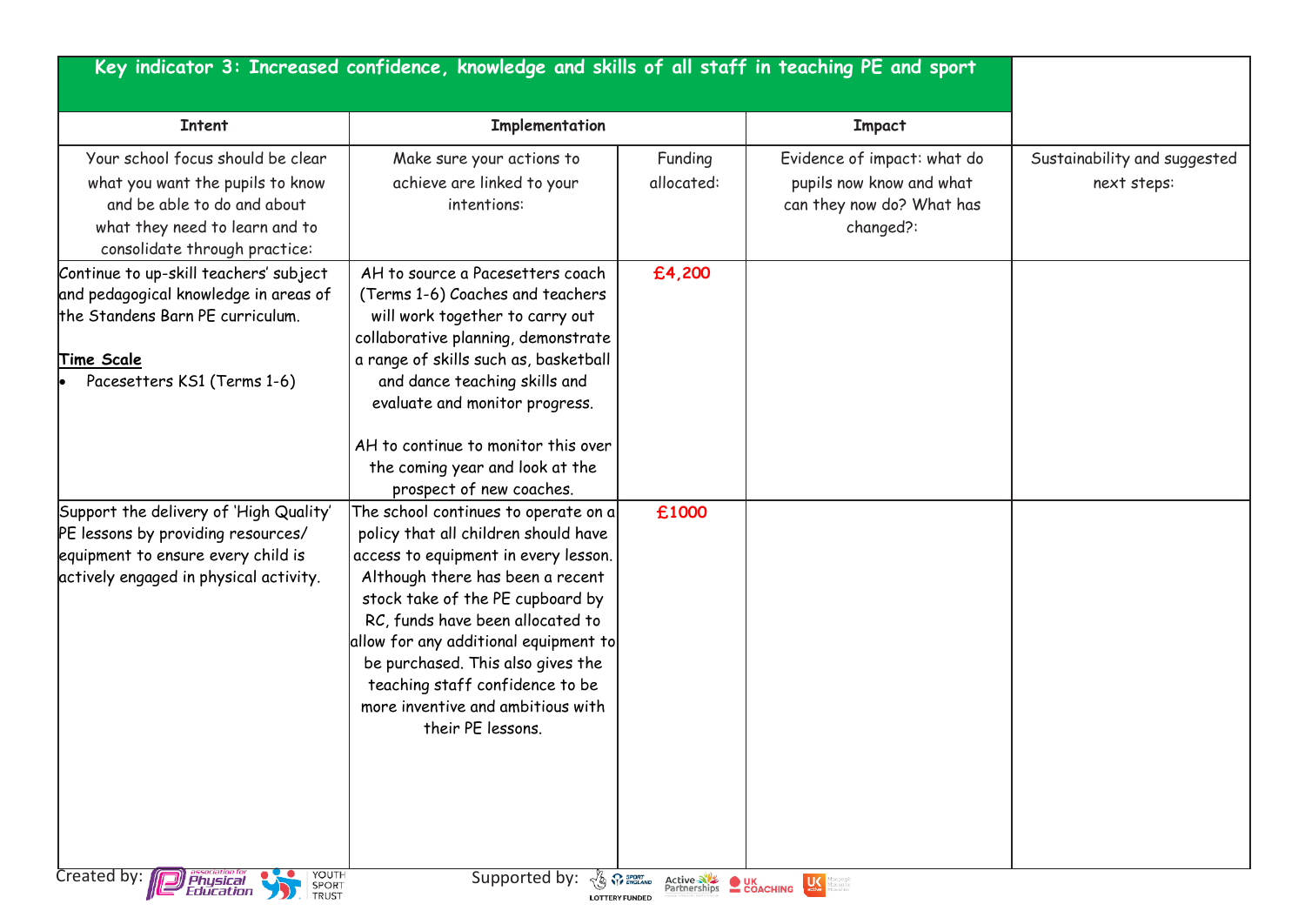|                                                                                                                                                                         | Key indicator 3: Increased confidence, knowledge and skills of all staff in teaching PE and sport                                                                                                                                                                                                                                                                                                             |                                               |                                                                                                   |                                             |
|-------------------------------------------------------------------------------------------------------------------------------------------------------------------------|---------------------------------------------------------------------------------------------------------------------------------------------------------------------------------------------------------------------------------------------------------------------------------------------------------------------------------------------------------------------------------------------------------------|-----------------------------------------------|---------------------------------------------------------------------------------------------------|---------------------------------------------|
| <b>Intent</b>                                                                                                                                                           | Implementation                                                                                                                                                                                                                                                                                                                                                                                                |                                               | <b>Impact</b>                                                                                     |                                             |
| Your school focus should be clear<br>what you want the pupils to know<br>and be able to do and about<br>what they need to learn and to<br>consolidate through practice: | Make sure your actions to<br>achieve are linked to your<br>intentions:                                                                                                                                                                                                                                                                                                                                        | Funding<br>allocated:                         | Evidence of impact: what do<br>pupils now know and what<br>can they now do? What has<br>changed?: | Sustainability and suggested<br>next steps: |
| Continue to up-skill teachers' subject<br>and pedagogical knowledge in areas of<br>the Standens Barn PE curriculum.<br><b>Time Scale</b><br>Pacesetters KS1 (Terms 1-6) | AH to source a Pacesetters coach<br>(Terms 1-6) Coaches and teachers<br>will work together to carry out<br>collaborative planning, demonstrate<br>a range of skills such as, basketball<br>and dance teaching skills and<br>evaluate and monitor progress.<br>AH to continue to monitor this over<br>the coming year and look at the<br>prospect of new coaches.                                              | £4,200                                        |                                                                                                   |                                             |
| Support the delivery of 'High Quality'<br>PE lessons by providing resources/<br>equipment to ensure every child is<br>actively engaged in physical activity.            | The school continues to operate on $a$<br>policy that all children should have<br>access to equipment in every lesson.<br>Although there has been a recent<br>stock take of the PE cupboard by<br>RC, funds have been allocated to<br>allow for any additional equipment to<br>be purchased. This also gives the<br>teaching staff confidence to be<br>more inventive and ambitious with<br>their PE lessons. | £1000                                         |                                                                                                   |                                             |
| YOUTH<br>Created by: <b>D</b> Physical                                                                                                                                  | Supported by: 3 PR SPORT TO BOOT AND<br><b>LOTTERY FUNDED</b>                                                                                                                                                                                                                                                                                                                                                 | <b>Active NE DUK</b><br>Partnerships COACHING | $\mathbf{U}$<br>reactive<br>rection                                                               |                                             |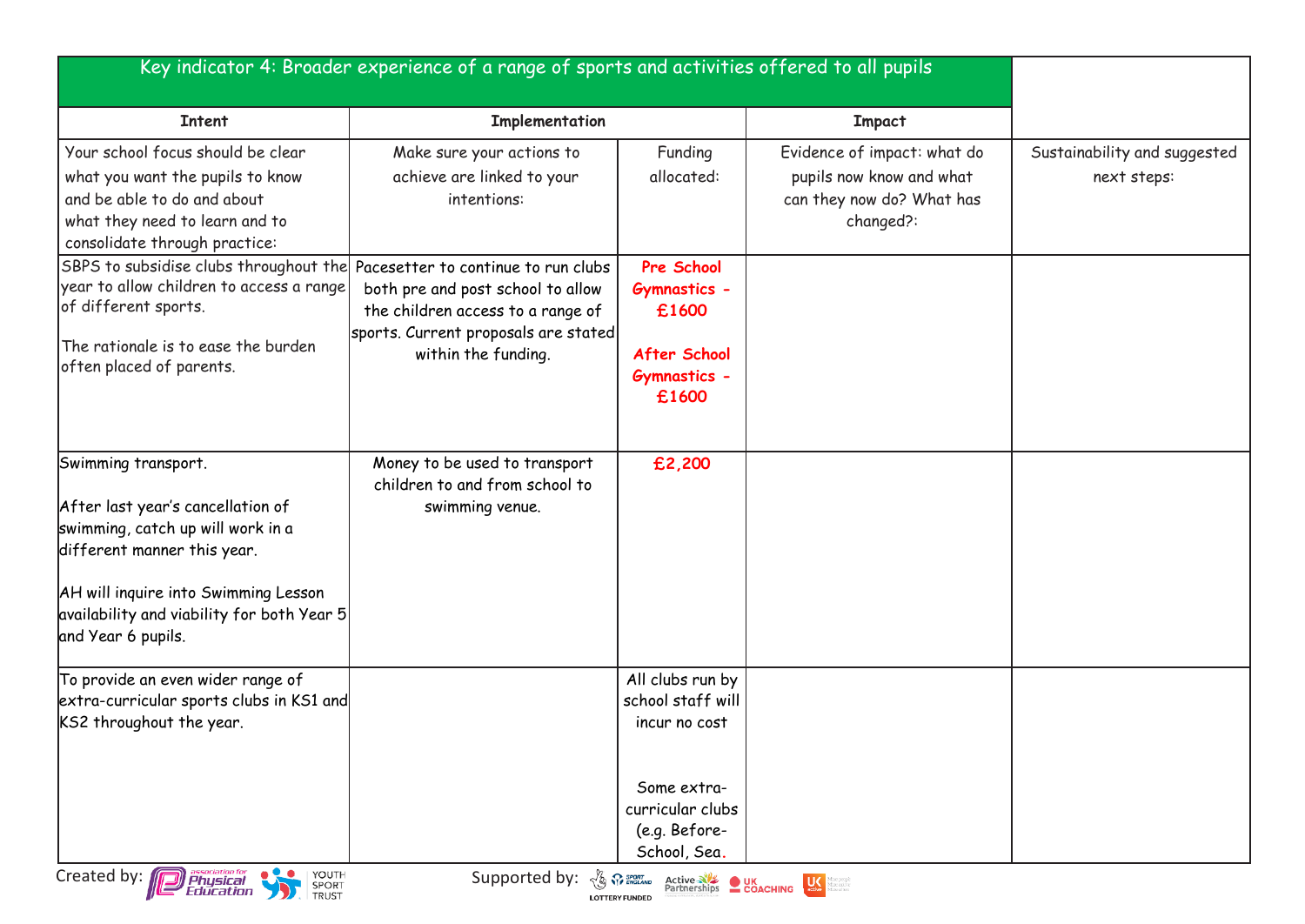|                                                                                                                                                                                                                                          | Key indicator 4: Broader experience of a range of sports and activities offered to all pupils                                         |                                                                                                                            |                                                                                                   |                                             |
|------------------------------------------------------------------------------------------------------------------------------------------------------------------------------------------------------------------------------------------|---------------------------------------------------------------------------------------------------------------------------------------|----------------------------------------------------------------------------------------------------------------------------|---------------------------------------------------------------------------------------------------|---------------------------------------------|
| <b>Intent</b>                                                                                                                                                                                                                            | Implementation                                                                                                                        |                                                                                                                            | <b>Impact</b>                                                                                     |                                             |
| Your school focus should be clear<br>what you want the pupils to know<br>and be able to do and about<br>what they need to learn and to<br>consolidate through practice:                                                                  | Make sure your actions to<br>achieve are linked to your<br>intentions:                                                                | Funding<br>allocated:                                                                                                      | Evidence of impact: what do<br>pupils now know and what<br>can they now do? What has<br>changed?: | Sustainability and suggested<br>next steps: |
| SBPS to subsidise clubs throughout the Pacesetter to continue to run clubs<br>year to allow children to access a range<br>of different sports.<br>The rationale is to ease the burden<br>often placed of parents.                        | both pre and post school to allow<br>the children access to a range of<br>sports. Current proposals are stated<br>within the funding. | Pre School<br><b>Gymnastics -</b><br>£1600<br>After School<br><b>Gymnastics -</b><br>£1600                                 |                                                                                                   |                                             |
| Swimming transport.<br>After last year's cancellation of<br>swimming, catch up will work in a<br>different manner this year.<br>AH will inquire into Swimming Lesson<br>availability and viability for both Year 5<br>and Year 6 pupils. | Money to be used to transport<br>children to and from school to<br>swimming venue.                                                    | £2,200                                                                                                                     |                                                                                                   |                                             |
| To provide an even wider range of<br>extra-curricular sports clubs in KS1 and<br>KS2 throughout the year.                                                                                                                                |                                                                                                                                       | All clubs run by<br>school staff will<br>incur no cost<br>Some extra-<br>curricular clubs<br>(e.g. Before-<br>School, Sea. |                                                                                                   |                                             |
| YOUTH SPORT<br>Created by: <b>Department</b>                                                                                                                                                                                             | Supported by: $\frac{1}{\sqrt{2}}$ $\frac{1}{\sqrt{2}}$ $\frac{1}{\sqrt{2}}$ $\frac{1}{\sqrt{2}}$                                     | Active NE UK<br>Partnerships COACHING<br><b>LOTTERY FUNDED</b>                                                             | $\frac{1}{\text{active}}$<br>amepeope<br>direactive<br>direnfien                                  |                                             |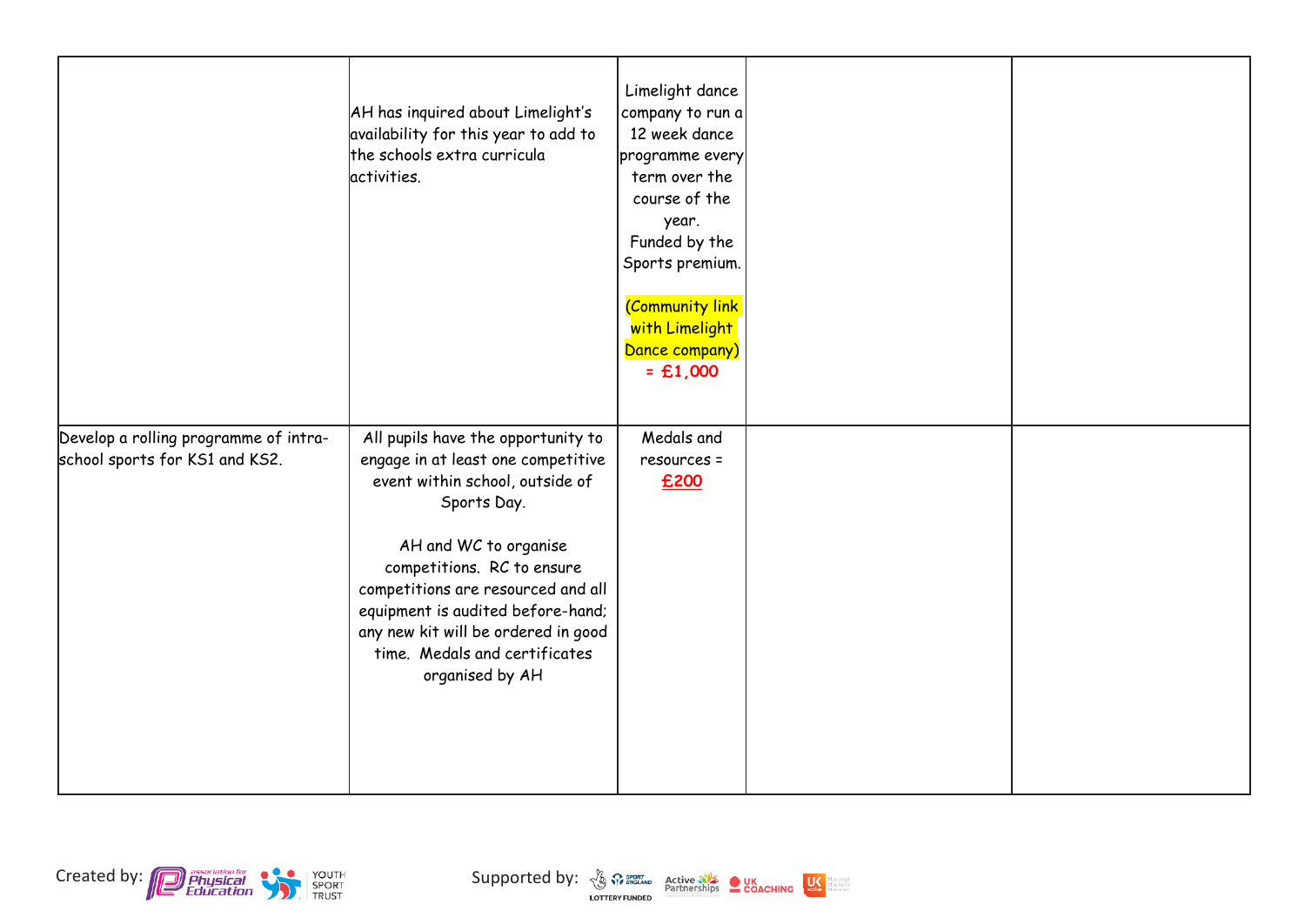|                                                                         | AH has inquired about Limelight's<br>availability for this year to add to<br>the schools extra curricula<br>activities.                                                                                                                                                                                                                                 | Limelight dance<br>company to run a<br>12 week dance<br>programme every<br>term over the<br>course of the<br>year.<br>Funded by the<br>Sports premium.<br>(Community link<br>with Limelight<br>Dance company)<br>$=$ £1,000 |  |
|-------------------------------------------------------------------------|---------------------------------------------------------------------------------------------------------------------------------------------------------------------------------------------------------------------------------------------------------------------------------------------------------------------------------------------------------|-----------------------------------------------------------------------------------------------------------------------------------------------------------------------------------------------------------------------------|--|
| Develop a rolling programme of intra-<br>school sports for KS1 and KS2. | All pupils have the opportunity to<br>engage in at least one competitive<br>event within school, outside of<br>Sports Day.<br>AH and WC to organise<br>competitions. RC to ensure<br>competitions are resourced and all<br>equipment is audited before-hand;<br>any new kit will be ordered in good<br>time. Medals and certificates<br>organised by AH | Medals and<br>resources =<br>£200                                                                                                                                                                                           |  |





dore people<br>dore active<br>dore of ten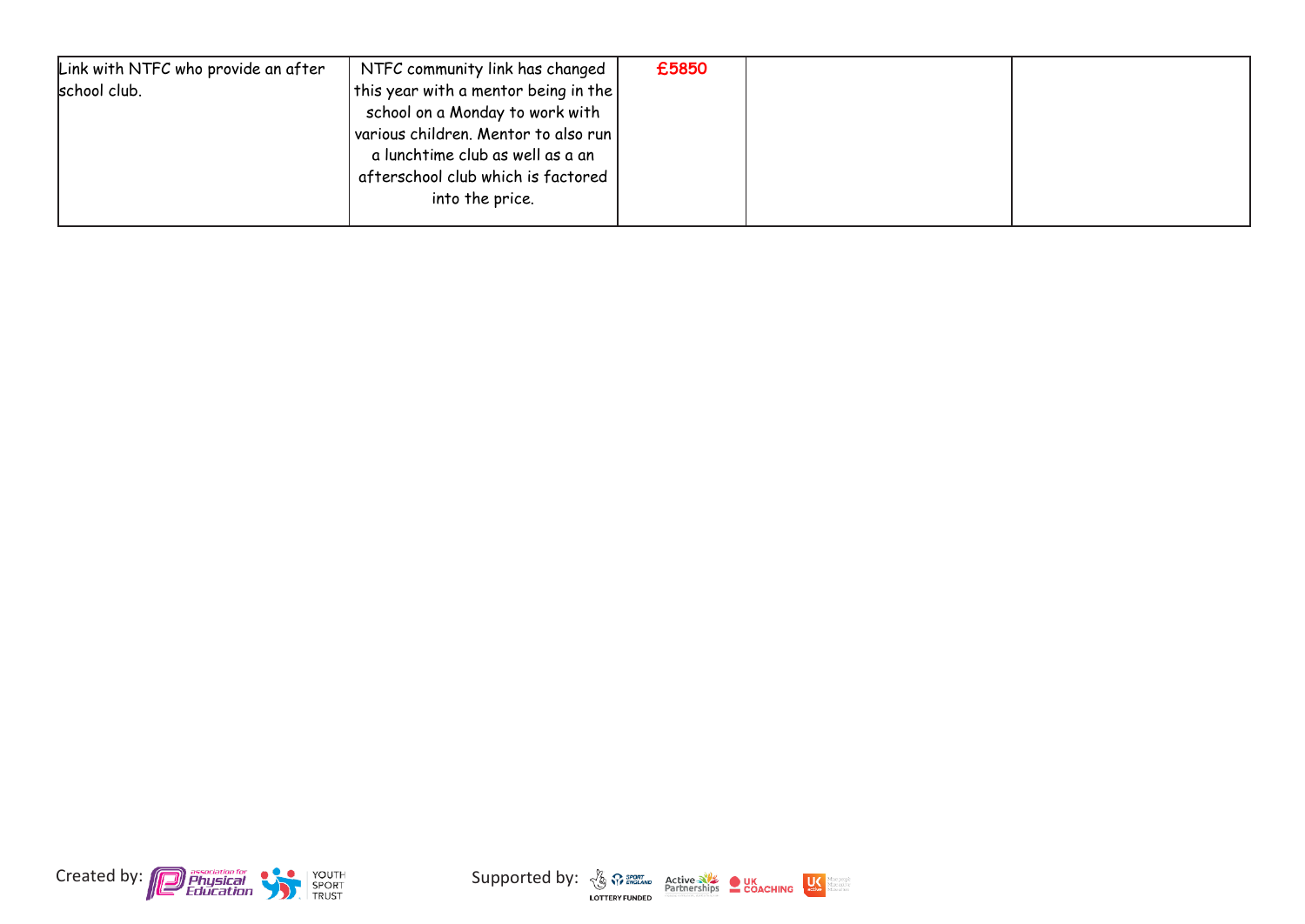| Link with NTFC who provide an after | NTFC community link has changed              | £5850 |  |
|-------------------------------------|----------------------------------------------|-------|--|
| school club.                        | this year with a mentor being in the $\vert$ |       |  |
|                                     | school on a Monday to work with              |       |  |
|                                     | various children. Mentor to also run         |       |  |
|                                     | a lunchtime club as well as a an             |       |  |
|                                     | afterschool club which is factored           |       |  |
|                                     | into the price.                              |       |  |
|                                     |                                              |       |  |



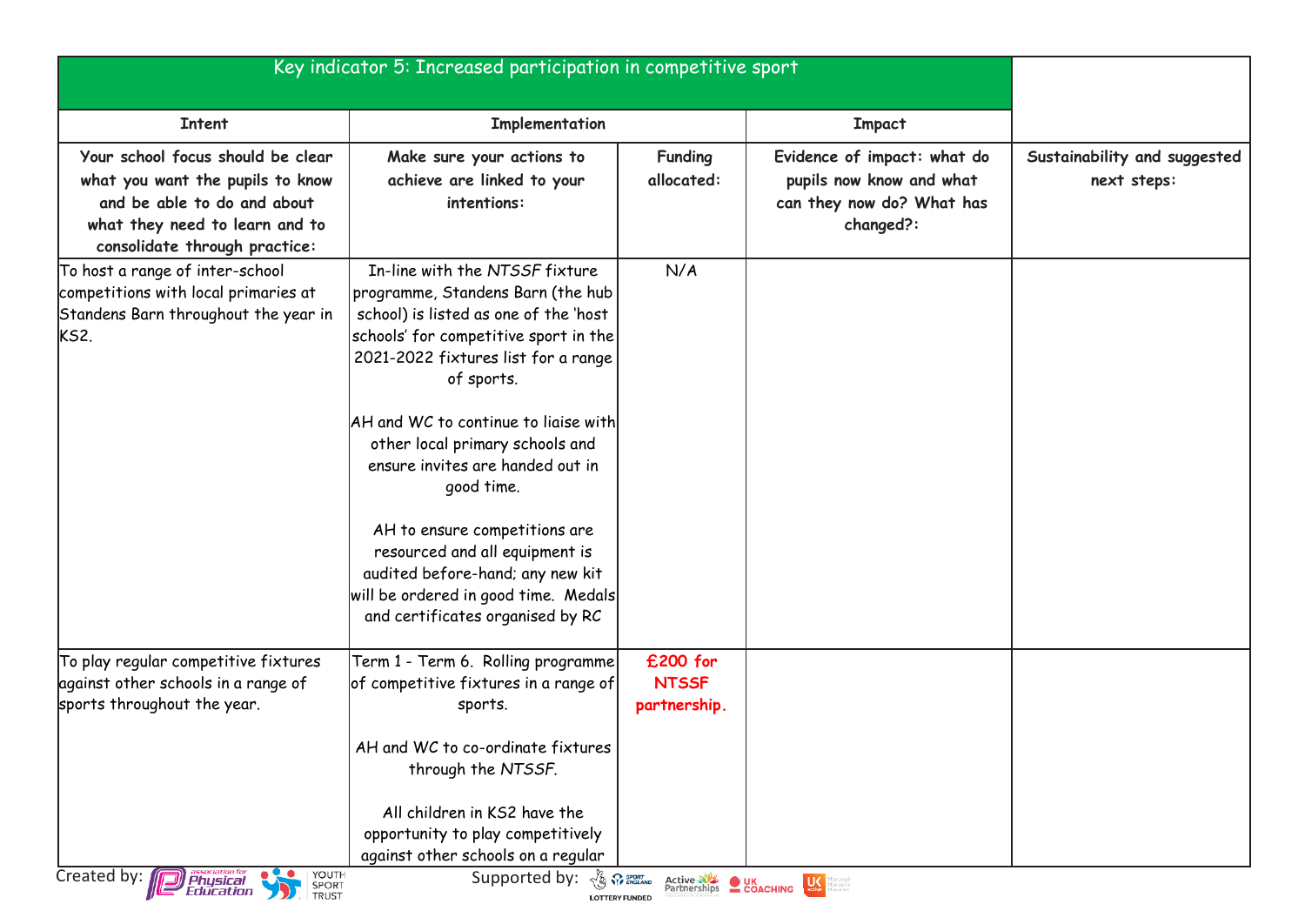|                                                                                                                                                                         | Key indicator 5: Increased participation in competitive sport                                                                                                                                                                                                                                                                       |                                          |                                                                                                   |                                             |
|-------------------------------------------------------------------------------------------------------------------------------------------------------------------------|-------------------------------------------------------------------------------------------------------------------------------------------------------------------------------------------------------------------------------------------------------------------------------------------------------------------------------------|------------------------------------------|---------------------------------------------------------------------------------------------------|---------------------------------------------|
| <b>Intent</b>                                                                                                                                                           | Implementation                                                                                                                                                                                                                                                                                                                      |                                          | <b>Impact</b>                                                                                     |                                             |
| Your school focus should be clear<br>what you want the pupils to know<br>and be able to do and about<br>what they need to learn and to<br>consolidate through practice: | Make sure your actions to<br>achieve are linked to your<br>intentions:                                                                                                                                                                                                                                                              | <b>Funding</b><br>allocated:             | Evidence of impact: what do<br>pupils now know and what<br>can they now do? What has<br>changed?: | Sustainability and suggested<br>next steps: |
| To host a range of inter-school<br>competitions with local primaries at<br>Standens Barn throughout the year in<br>KS2.                                                 | In-line with the NTSSF fixture<br>programme, Standens Barn (the hub<br>school) is listed as one of the 'host<br>schools' for competitive sport in the<br>2021-2022 fixtures list for a range<br>of sports.<br>AH and WC to continue to liaise with<br>other local primary schools and                                               | N/A                                      |                                                                                                   |                                             |
|                                                                                                                                                                         | ensure invites are handed out in<br>good time.<br>AH to ensure competitions are<br>resourced and all equipment is<br>audited before-hand; any new kit<br>will be ordered in good time. Medals<br>and certificates organised by RC                                                                                                   |                                          |                                                                                                   |                                             |
| To play regular competitive fixtures<br>against other schools in a range of<br>sports throughout the year.<br>YOUTH<br>Created by: <b>Physical</b>                      | Term 1 - Term 6. Rolling programme <br>of competitive fixtures in a range of<br>sports.<br>AH and WC to co-ordinate fixtures<br>through the NTSSF.<br>All children in KS2 have the<br>opportunity to play competitively<br>against other schools on a regular<br>Supported by: $\sqrt{\xi_0}$ $\Omega$ $\mathbb{S}_{\text{measym}}$ | £200 for<br><b>NTSSF</b><br>partnership. | Active NE OUK Partnerships COACHING                                                               |                                             |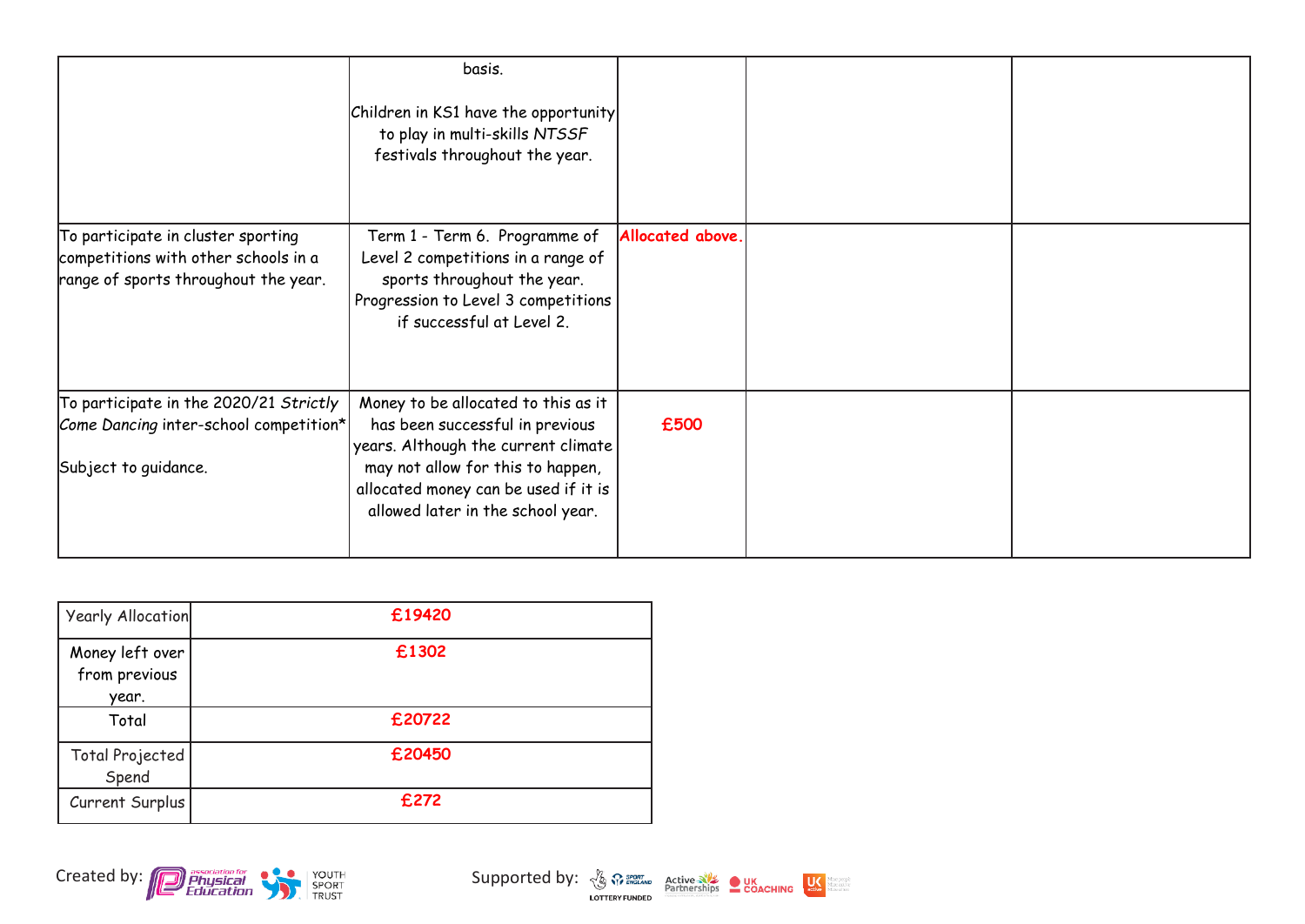|                                                                                                                    | basis.<br>Children in KS1 have the opportunity<br>to play in multi-skills NTSSF<br>festivals throughout the year.                                                                                                               |                  |  |
|--------------------------------------------------------------------------------------------------------------------|---------------------------------------------------------------------------------------------------------------------------------------------------------------------------------------------------------------------------------|------------------|--|
| To participate in cluster sporting<br>competitions with other schools in a<br>range of sports throughout the year. | Term 1 - Term 6. Programme of<br>Level 2 competitions in a range of<br>sports throughout the year.<br>Progression to Level 3 competitions<br>if successful at Level 2.                                                          | Allocated above. |  |
| To participate in the 2020/21 Strictly<br>Come Dancing inter-school competition*<br>Subject to guidance.           | Money to be allocated to this as it<br>has been successful in previous<br>years. Although the current climate<br>may not allow for this to happen,<br>allocated money can be used if it is<br>allowed later in the school year. | £500             |  |

| <b>Yearly Allocation</b>                  | £19420 |
|-------------------------------------------|--------|
| Money left over<br>from previous<br>year. | £1302  |
| Total                                     | £20722 |
| Total Projected<br>Spend                  | £20450 |
| Current Surplus                           | £272   |